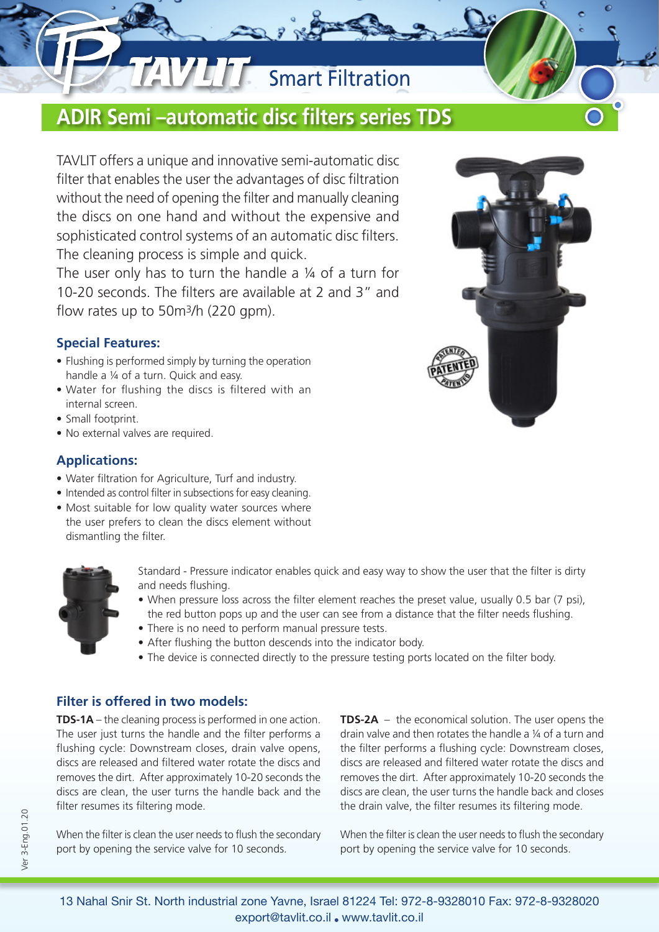## **Smart Filtration**

### **ADIR Semi –automatic disc filters series TDS**

TAVLIT offers a unique and innovative semi-automatic disc filter that enables the user the advantages of disc filtration without the need of opening the filter and manually cleaning the discs on one hand and without the expensive and sophisticated control systems of an automatic disc filters. The cleaning process is simple and quick.

The user only has to turn the handle a ¼ of a turn for 10-20 seconds. The filters are available at 2 and 3" and flow rates up to 50m3/h (220 gpm).

### **Special Features:**

- Flushing is performed simply by turning the operation handle a ¼ of a turn. Quick and easy.
- Water for flushing the discs is filtered with an internal screen.
- Small footprint.
- No external valves are required.

### **Applications:**

- Water filtration for Agriculture, Turf and industry.
- Intended as control filter in subsections for easy cleaning.
- Most suitable for low quality water sources where the user prefers to clean the discs element without dismantling the filter.



Standard - Pressure indicator enables quick and easy way to show the user that the filter is dirty and needs flushing.

- When pressure loss across the filter element reaches the preset value, usually 0.5 bar (7 psi), the red button pops up and the user can see from a distance that the filter needs flushing.
- There is no need to perform manual pressure tests.
- After flushing the button descends into the indicator body.
- The device is connected directly to the pressure testing ports located on the filter body.

### **Filter is offered in two models:**

**TDS-1A** – the cleaning process is performed in one action. The user just turns the handle and the filter performs a flushing cycle: Downstream closes, drain valve opens, discs are released and filtered water rotate the discs and removes the dirt. After approximately 10-20 seconds the discs are clean, the user turns the handle back and the filter resumes its filtering mode.

When the filter is clean the user needs to flush the secondary port by opening the service valve for 10 seconds.

**TDS-2A** – the economical solution. The user opens the drain valve and then rotates the handle a ¼ of a turn and the filter performs a flushing cycle: Downstream closes, discs are released and filtered water rotate the discs and removes the dirt. After approximately 10-20 seconds the discs are clean, the user turns the handle back and closes the drain valve, the filter resumes its filtering mode.

When the filter is clean the user needs to flush the secondary port by opening the service valve for 10 seconds.